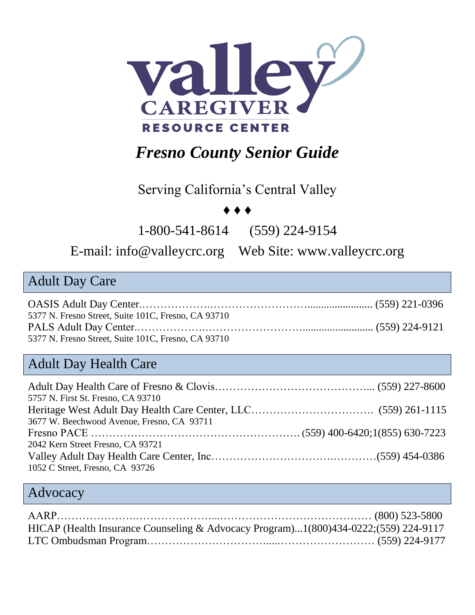

## *Fresno County Senior Guide*

Serving California's Central Valley

#### ♦ ♦ ♦

1-800-541-8614 (559) 224-9154

#### E-mail: [info@valleycrc.org](mailto:info@valleycrc.org) Web Site: www.valleycrc.org

#### Adult Day Care

| 5377 N. Fresno Street, Suite 101C, Fresno, CA 93710 |  |
|-----------------------------------------------------|--|
|                                                     |  |
| 5377 N. Fresno Street, Suite 101C, Fresno, CA 93710 |  |

#### Adult Day Health Care

| 5757 N. First St. Fresno, CA 93710         |  |
|--------------------------------------------|--|
|                                            |  |
| 3677 W. Beechwood Avenue, Fresno, CA 93711 |  |
|                                            |  |
| 2042 Kern Street Fresno, CA 93721          |  |
|                                            |  |
| 1052 C Street, Fresno, CA 93726            |  |

#### Advocacy

| HICAP (Health Insurance Counseling & Advocacy Program)1(800)434-0222;(559) 224-9117 |  |
|-------------------------------------------------------------------------------------|--|
|                                                                                     |  |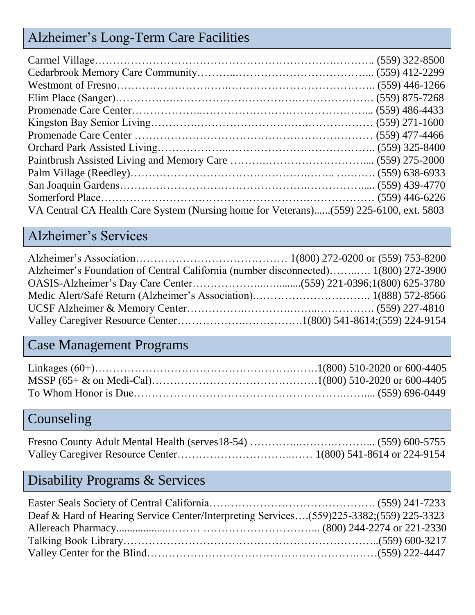## Alzheimer's Long-Term Care Facilities

| VA Central CA Health Care System (Nursing home for Veterans)(559) 225-6100, ext. 5803 |  |
|---------------------------------------------------------------------------------------|--|

## Alzheimer's Services

| Alzheimer's Foundation of Central California (number disconnected) 1(800) 272-3900 |  |
|------------------------------------------------------------------------------------|--|
|                                                                                    |  |
|                                                                                    |  |
|                                                                                    |  |
|                                                                                    |  |

## Case Management Programs

## **Counseling**

## Disability Programs & Services

| Deaf & Hard of Hearing Service Center/Interpreting Services(559)225-3382;(559) 225-3323 |  |
|-----------------------------------------------------------------------------------------|--|
|                                                                                         |  |
|                                                                                         |  |
|                                                                                         |  |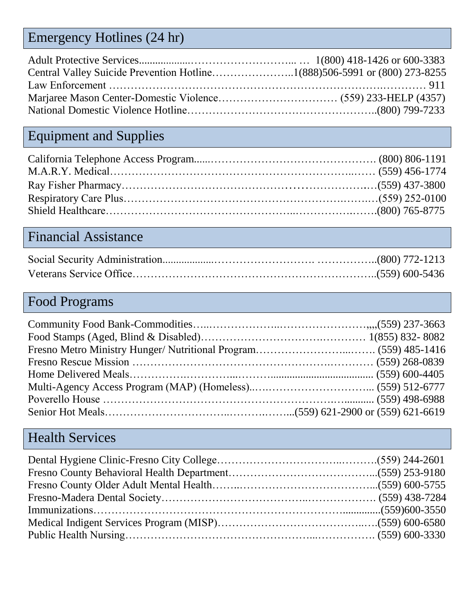# Emergency Hotlines (24 hr)

## Equipment and Supplies

### Financial Assistance

## Food Programs

#### Health Services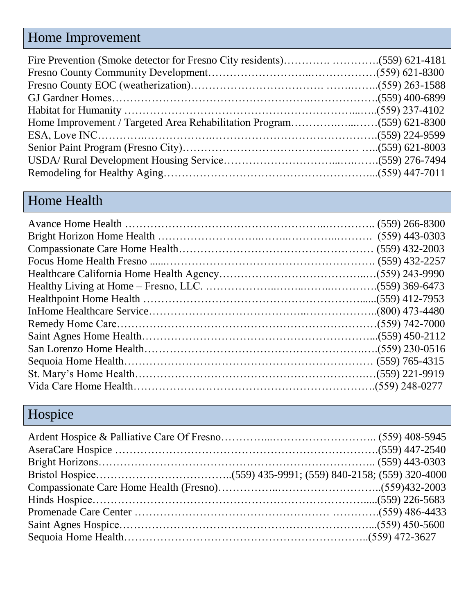## Home Improvement

## Home Health

# Hospice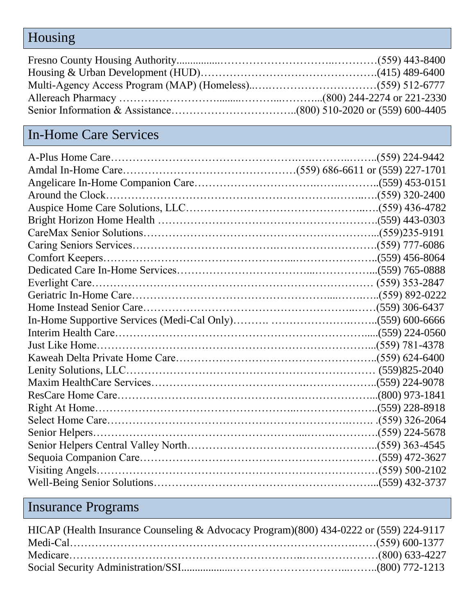## Housing

## In-Home Care Services

# Insurance Programs

| HICAP (Health Insurance Counseling & Advocacy Program)(800) 434-0222 or (559) 224-9117 |  |
|----------------------------------------------------------------------------------------|--|
|                                                                                        |  |
|                                                                                        |  |
|                                                                                        |  |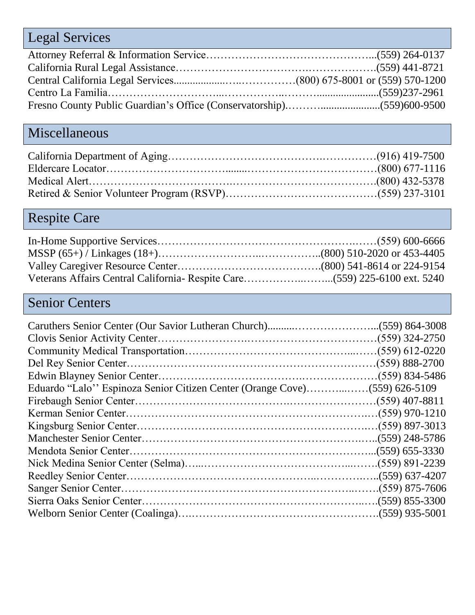# Legal Services

## Miscellaneous

## Respite Care

#### Senior Centers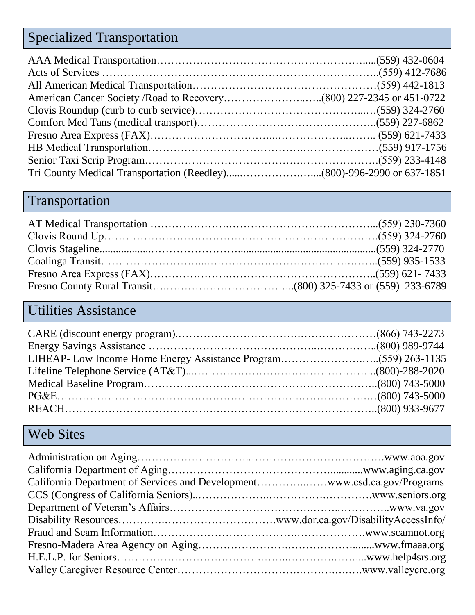# Specialized Transportation

## Transportation

### Utilities Assistance

## Web Sites